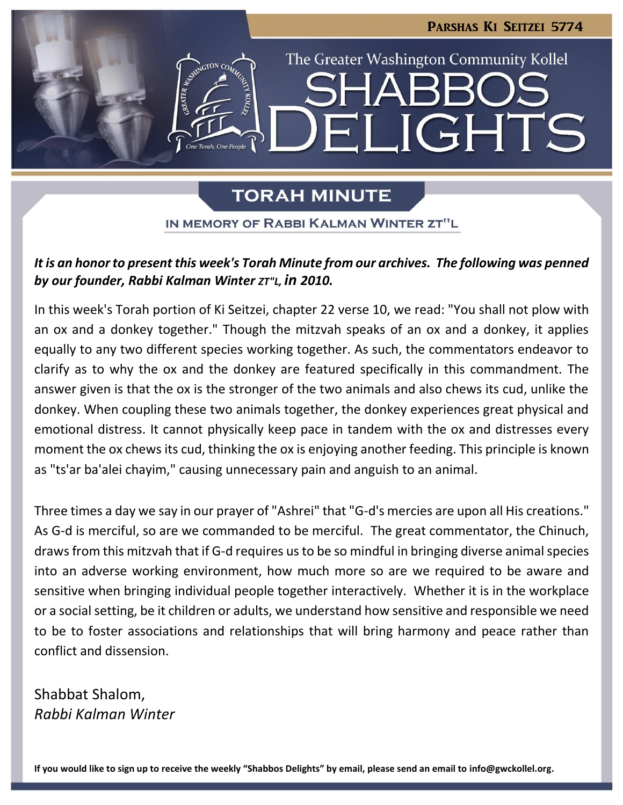

# **TORAH MINUTE**

IN MEMORY OF RABBI KALMAN WINTER ZT"L

# *It is an honor to present this week's Torah Minute from our archives. The following was penned by our founder, Rabbi Kalman Winter ZT"L, in 2010.*

In this week's Torah portion of Ki Seitzei, chapter 22 verse 10, we read: "You shall not plow with an ox and a donkey together." Though the mitzvah speaks of an ox and a donkey, it applies equally to any two different species working together. As such, the commentators endeavor to clarify as to why the ox and the donkey are featured specifically in this commandment. The answer given is that the ox is the stronger of the two animals and also chews its cud, unlike the donkey. When coupling these two animals together, the donkey experiences great physical and emotional distress. It cannot physically keep pace in tandem with the ox and distresses every moment the ox chews its cud, thinking the ox is enjoying another feeding. This principle is known as "ts'ar ba'alei chayim," causing unnecessary pain and anguish to an animal.

Three times a day we say in our prayer of "Ashrei" that "G-d's mercies are upon all His creations." As G-d is merciful, so are we commanded to be merciful. The great commentator, the Chinuch, draws from this mitzvah that if G-d requires us to be so mindful in bringing diverse animal species into an adverse working environment, how much more so are we required to be aware and sensitive when bringing individual people together interactively. Whether it is in the workplace or a social setting, be it children or adults, we understand how sensitive and responsible we need to be to foster associations and relationships that will bring harmony and peace rather than conflict and dissension.

Shabbat Shalom, *Rabbi Kalman Winter*

**If you would like to sign up to receive the weekly "Shabbos Delights" by email, please send an email to [info@gwckollel.org.](mailto:info@gwckollel.org)**